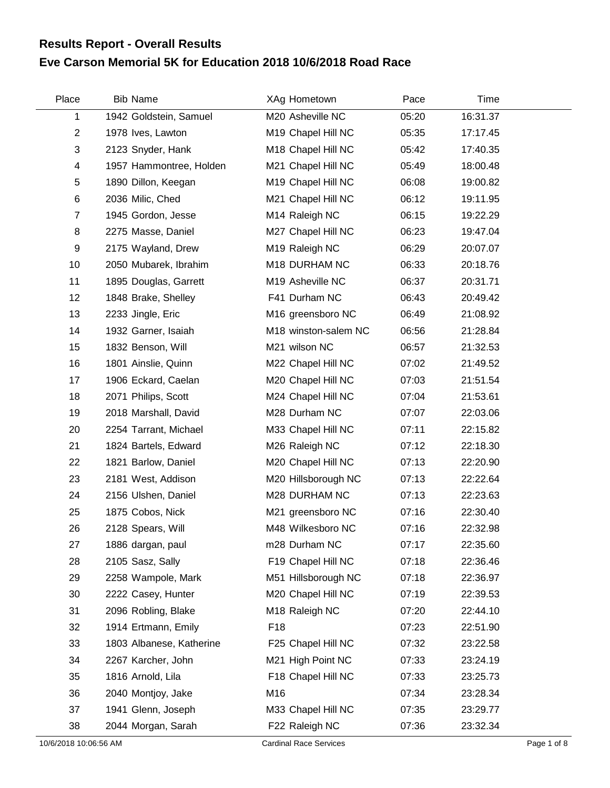## **Eve Carson Memorial 5K for Education 2018 10/6/2018 Road Race Results Report - Overall Results**

| Place          | <b>Bib Name</b>          | XAg Hometown         | Pace  | Time     |  |
|----------------|--------------------------|----------------------|-------|----------|--|
| 1              | 1942 Goldstein, Samuel   | M20 Asheville NC     | 05:20 | 16:31.37 |  |
| $\overline{c}$ | 1978 Ives, Lawton        | M19 Chapel Hill NC   | 05:35 | 17:17.45 |  |
| 3              | 2123 Snyder, Hank        | M18 Chapel Hill NC   | 05:42 | 17:40.35 |  |
| 4              | 1957 Hammontree, Holden  | M21 Chapel Hill NC   | 05:49 | 18:00.48 |  |
| 5              | 1890 Dillon, Keegan      | M19 Chapel Hill NC   | 06:08 | 19:00.82 |  |
| 6              | 2036 Milic, Ched         | M21 Chapel Hill NC   | 06:12 | 19:11.95 |  |
| $\overline{7}$ | 1945 Gordon, Jesse       | M14 Raleigh NC       | 06:15 | 19:22.29 |  |
| 8              | 2275 Masse, Daniel       | M27 Chapel Hill NC   | 06:23 | 19:47.04 |  |
| 9              | 2175 Wayland, Drew       | M19 Raleigh NC       | 06:29 | 20:07.07 |  |
| 10             | 2050 Mubarek, Ibrahim    | M18 DURHAM NC        | 06:33 | 20:18.76 |  |
| 11             | 1895 Douglas, Garrett    | M19 Asheville NC     | 06:37 | 20:31.71 |  |
| 12             | 1848 Brake, Shelley      | F41 Durham NC        | 06:43 | 20:49.42 |  |
| 13             | 2233 Jingle, Eric        | M16 greensboro NC    | 06:49 | 21:08.92 |  |
| 14             | 1932 Garner, Isaiah      | M18 winston-salem NC | 06:56 | 21:28.84 |  |
| 15             | 1832 Benson, Will        | M21 wilson NC        | 06:57 | 21:32.53 |  |
| 16             | 1801 Ainslie, Quinn      | M22 Chapel Hill NC   | 07:02 | 21:49.52 |  |
| 17             | 1906 Eckard, Caelan      | M20 Chapel Hill NC   | 07:03 | 21:51.54 |  |
| 18             | 2071 Philips, Scott      | M24 Chapel Hill NC   | 07:04 | 21:53.61 |  |
| 19             | 2018 Marshall, David     | M28 Durham NC        | 07:07 | 22:03.06 |  |
| 20             | 2254 Tarrant, Michael    | M33 Chapel Hill NC   | 07:11 | 22:15.82 |  |
| 21             | 1824 Bartels, Edward     | M26 Raleigh NC       | 07:12 | 22:18.30 |  |
| 22             | 1821 Barlow, Daniel      | M20 Chapel Hill NC   | 07:13 | 22:20.90 |  |
| 23             | 2181 West, Addison       | M20 Hillsborough NC  | 07:13 | 22:22.64 |  |
| 24             | 2156 Ulshen, Daniel      | M28 DURHAM NC        | 07:13 | 22:23.63 |  |
| 25             | 1875 Cobos, Nick         | M21 greensboro NC    | 07:16 | 22:30.40 |  |
| 26             | 2128 Spears, Will        | M48 Wilkesboro NC    | 07:16 | 22:32.98 |  |
| 27             | 1886 dargan, paul        | m28 Durham NC        | 07:17 | 22:35.60 |  |
| 28             | 2105 Sasz, Sally         | F19 Chapel Hill NC   | 07:18 | 22:36.46 |  |
| 29             | 2258 Wampole, Mark       | M51 Hillsborough NC  | 07:18 | 22:36.97 |  |
| 30             | 2222 Casey, Hunter       | M20 Chapel Hill NC   | 07:19 | 22:39.53 |  |
| 31             | 2096 Robling, Blake      | M18 Raleigh NC       | 07:20 | 22:44.10 |  |
| 32             | 1914 Ertmann, Emily      | F <sub>18</sub>      | 07:23 | 22:51.90 |  |
| 33             | 1803 Albanese, Katherine | F25 Chapel Hill NC   | 07:32 | 23:22.58 |  |
| 34             | 2267 Karcher, John       | M21 High Point NC    | 07:33 | 23:24.19 |  |
| 35             | 1816 Arnold, Lila        | F18 Chapel Hill NC   | 07:33 | 23:25.73 |  |
| 36             | 2040 Montjoy, Jake       | M16                  | 07:34 | 23:28.34 |  |
| 37             | 1941 Glenn, Joseph       | M33 Chapel Hill NC   | 07:35 | 23:29.77 |  |
| 38             | 2044 Morgan, Sarah       | F22 Raleigh NC       | 07:36 | 23:32.34 |  |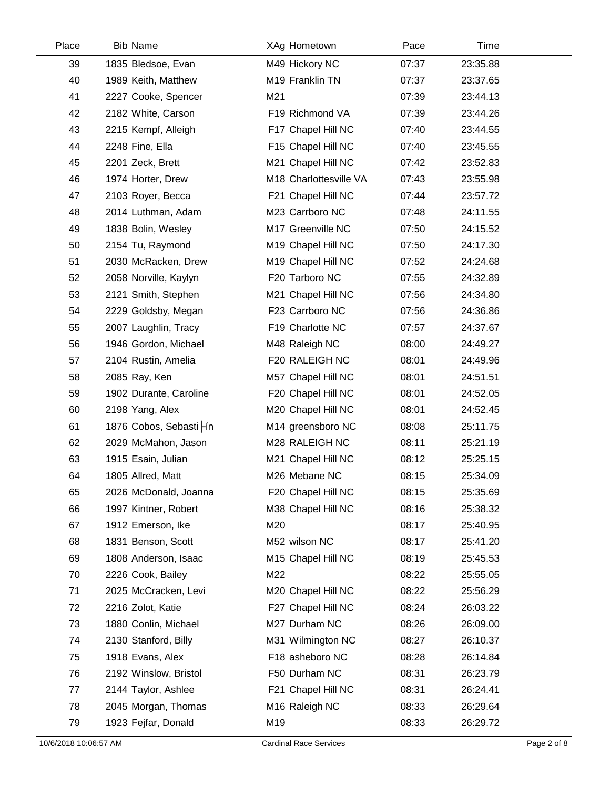| Place | <b>Bib Name</b>          | XAg Hometown               | Pace  | Time     |  |
|-------|--------------------------|----------------------------|-------|----------|--|
| 39    | 1835 Bledsoe, Evan       | M49 Hickory NC             | 07:37 | 23:35.88 |  |
| 40    | 1989 Keith, Matthew      | M19 Franklin TN            | 07:37 | 23:37.65 |  |
| 41    | 2227 Cooke, Spencer      | M21                        | 07:39 | 23:44.13 |  |
| 42    | 2182 White, Carson       | F19 Richmond VA            | 07:39 | 23:44.26 |  |
| 43    | 2215 Kempf, Alleigh      | F17 Chapel Hill NC         | 07:40 | 23:44.55 |  |
| 44    | 2248 Fine, Ella          | F15 Chapel Hill NC         | 07:40 | 23:45.55 |  |
| 45    | 2201 Zeck, Brett         | M21 Chapel Hill NC         | 07:42 | 23:52.83 |  |
| 46    | 1974 Horter, Drew        | M18 Charlottesville VA     | 07:43 | 23:55.98 |  |
| 47    | 2103 Royer, Becca        | F21 Chapel Hill NC         | 07:44 | 23:57.72 |  |
| 48    | 2014 Luthman, Adam       | M23 Carrboro NC            | 07:48 | 24:11.55 |  |
| 49    | 1838 Bolin, Wesley       | M17 Greenville NC          | 07:50 | 24:15.52 |  |
| 50    | 2154 Tu, Raymond         | M19 Chapel Hill NC         | 07:50 | 24:17.30 |  |
| 51    | 2030 McRacken, Drew      | M19 Chapel Hill NC         | 07:52 | 24:24.68 |  |
| 52    | 2058 Norville, Kaylyn    | F20 Tarboro NC             | 07:55 | 24:32.89 |  |
| 53    | 2121 Smith, Stephen      | M21 Chapel Hill NC         | 07:56 | 24:34.80 |  |
| 54    | 2229 Goldsby, Megan      | F23 Carrboro NC            | 07:56 | 24:36.86 |  |
| 55    | 2007 Laughlin, Tracy     | F19 Charlotte NC           | 07:57 | 24:37.67 |  |
| 56    | 1946 Gordon, Michael     | M48 Raleigh NC             | 08:00 | 24:49.27 |  |
| 57    | 2104 Rustin, Amelia      | F20 RALEIGH NC             | 08:01 | 24:49.96 |  |
| 58    | 2085 Ray, Ken            | M57 Chapel Hill NC         | 08:01 | 24:51.51 |  |
| 59    | 1902 Durante, Caroline   | F20 Chapel Hill NC         | 08:01 | 24:52.05 |  |
| 60    | 2198 Yang, Alex          | M20 Chapel Hill NC         | 08:01 | 24:52.45 |  |
| 61    | 1876 Cobos, Sebasti - ín | M14 greensboro NC          | 08:08 | 25:11.75 |  |
| 62    | 2029 McMahon, Jason      | M28 RALEIGH NC             | 08:11 | 25:21.19 |  |
| 63    | 1915 Esain, Julian       | M21 Chapel Hill NC         | 08:12 | 25:25.15 |  |
| 64    | 1805 Allred, Matt        | M26 Mebane NC              | 08:15 | 25:34.09 |  |
| 65    | 2026 McDonald, Joanna    | F20 Chapel Hill NC         | 08:15 | 25:35.69 |  |
| 66    | 1997 Kintner, Robert     | M38 Chapel Hill NC         | 08:16 | 25:38.32 |  |
| 67    | 1912 Emerson, Ike        | M20                        | 08:17 | 25:40.95 |  |
| 68    | 1831 Benson, Scott       | M52 wilson NC              | 08:17 | 25:41.20 |  |
| 69    | 1808 Anderson, Isaac     | M15 Chapel Hill NC         | 08:19 | 25:45.53 |  |
| 70    | 2226 Cook, Bailey        | M22                        | 08:22 | 25:55.05 |  |
| 71    | 2025 McCracken, Levi     | M20 Chapel Hill NC         | 08:22 | 25:56.29 |  |
| 72    | 2216 Zolot, Katie        | F27 Chapel Hill NC         | 08:24 | 26:03.22 |  |
| 73    | 1880 Conlin, Michael     | M27 Durham NC              | 08:26 | 26:09.00 |  |
| 74    | 2130 Stanford, Billy     | M31 Wilmington NC          | 08:27 | 26:10.37 |  |
| 75    | 1918 Evans, Alex         | F18 asheboro NC            | 08:28 | 26:14.84 |  |
| 76    | 2192 Winslow, Bristol    | F50 Durham NC              | 08:31 | 26:23.79 |  |
| 77    | 2144 Taylor, Ashlee      | F21 Chapel Hill NC         | 08:31 | 26:24.41 |  |
| 78    | 2045 Morgan, Thomas      | M <sub>16</sub> Raleigh NC | 08:33 | 26:29.64 |  |
| 79    | 1923 Fejfar, Donald      | M19                        | 08:33 | 26:29.72 |  |
|       |                          |                            |       |          |  |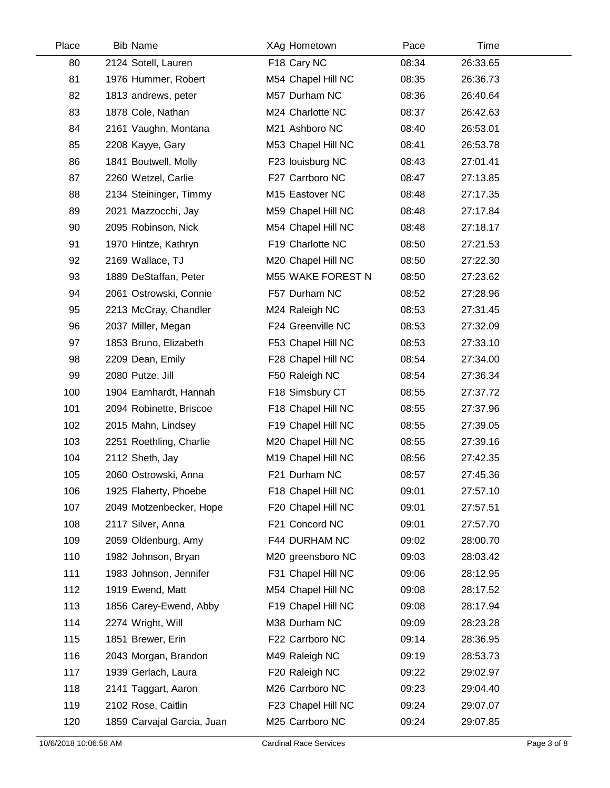| Place | <b>Bib Name</b>            | XAg Hometown             | Pace  | Time     |  |
|-------|----------------------------|--------------------------|-------|----------|--|
| 80    | 2124 Sotell, Lauren        | F18 Cary NC              | 08:34 | 26:33.65 |  |
| 81    | 1976 Hummer, Robert        | M54 Chapel Hill NC       | 08:35 | 26:36.73 |  |
| 82    | 1813 andrews, peter        | M57 Durham NC            | 08:36 | 26:40.64 |  |
| 83    | 1878 Cole, Nathan          | M24 Charlotte NC         | 08:37 | 26:42.63 |  |
| 84    | 2161 Vaughn, Montana       | M21 Ashboro NC           | 08:40 | 26:53.01 |  |
| 85    | 2208 Kayye, Gary           | M53 Chapel Hill NC       | 08:41 | 26:53.78 |  |
| 86    | 1841 Boutwell, Molly       | F23 louisburg NC         | 08:43 | 27:01.41 |  |
| 87    | 2260 Wetzel, Carlie        | F27 Carrboro NC          | 08:47 | 27:13.85 |  |
| 88    | 2134 Steininger, Timmy     | M15 Eastover NC          | 08:48 | 27:17.35 |  |
| 89    | 2021 Mazzocchi, Jay        | M59 Chapel Hill NC       | 08:48 | 27:17.84 |  |
| 90    | 2095 Robinson, Nick        | M54 Chapel Hill NC       | 08:48 | 27:18.17 |  |
| 91    | 1970 Hintze, Kathryn       | F19 Charlotte NC         | 08:50 | 27:21.53 |  |
| 92    | 2169 Wallace, TJ           | M20 Chapel Hill NC       | 08:50 | 27:22.30 |  |
| 93    | 1889 DeStaffan, Peter      | <b>M55 WAKE FOREST N</b> | 08:50 | 27:23.62 |  |
| 94    | 2061 Ostrowski, Connie     | F57 Durham NC            | 08:52 | 27:28.96 |  |
| 95    | 2213 McCray, Chandler      | M24 Raleigh NC           | 08:53 | 27:31.45 |  |
| 96    | 2037 Miller, Megan         | F24 Greenville NC        | 08:53 | 27:32.09 |  |
| 97    | 1853 Bruno, Elizabeth      | F53 Chapel Hill NC       | 08:53 | 27:33.10 |  |
| 98    | 2209 Dean, Emily           | F28 Chapel Hill NC       | 08:54 | 27:34.00 |  |
| 99    | 2080 Putze, Jill           | F50 Raleigh NC           | 08:54 | 27:36.34 |  |
| 100   | 1904 Earnhardt, Hannah     | F18 Simsbury CT          | 08:55 | 27:37.72 |  |
| 101   | 2094 Robinette, Briscoe    | F18 Chapel Hill NC       | 08:55 | 27:37.96 |  |
| 102   | 2015 Mahn, Lindsey         | F19 Chapel Hill NC       | 08:55 | 27:39.05 |  |
| 103   | 2251 Roethling, Charlie    | M20 Chapel Hill NC       | 08:55 | 27:39.16 |  |
| 104   | 2112 Sheth, Jay            | M19 Chapel Hill NC       | 08:56 | 27:42.35 |  |
| 105   | 2060 Ostrowski, Anna       | F21 Durham NC            | 08:57 | 27:45.36 |  |
| 106   | 1925 Flaherty, Phoebe      | F18 Chapel Hill NC       | 09:01 | 27:57.10 |  |
| 107   | 2049 Motzenbecker, Hope    | F20 Chapel Hill NC       | 09:01 | 27:57.51 |  |
| 108   | 2117 Silver, Anna          | F21 Concord NC           | 09:01 | 27:57.70 |  |
| 109   | 2059 Oldenburg, Amy        | F44 DURHAM NC            | 09:02 | 28:00.70 |  |
| 110   | 1982 Johnson, Bryan        | M20 greensboro NC        | 09:03 | 28:03.42 |  |
| 111   | 1983 Johnson, Jennifer     | F31 Chapel Hill NC       | 09:06 | 28:12.95 |  |
| 112   | 1919 Ewend, Matt           | M54 Chapel Hill NC       | 09:08 | 28:17.52 |  |
| 113   | 1856 Carey-Ewend, Abby     | F19 Chapel Hill NC       | 09:08 | 28:17.94 |  |
| 114   | 2274 Wright, Will          | M38 Durham NC            | 09:09 | 28:23.28 |  |
| 115   | 1851 Brewer, Erin          | F22 Carrboro NC          | 09:14 | 28:36.95 |  |
| 116   | 2043 Morgan, Brandon       | M49 Raleigh NC           | 09:19 | 28:53.73 |  |
| 117   | 1939 Gerlach, Laura        | F20 Raleigh NC           | 09:22 | 29:02.97 |  |
| 118   | 2141 Taggart, Aaron        | M26 Carrboro NC          | 09:23 | 29:04.40 |  |
| 119   | 2102 Rose, Caitlin         | F23 Chapel Hill NC       | 09:24 | 29:07.07 |  |
| 120   | 1859 Carvajal Garcia, Juan | M25 Carrboro NC          | 09:24 | 29:07.85 |  |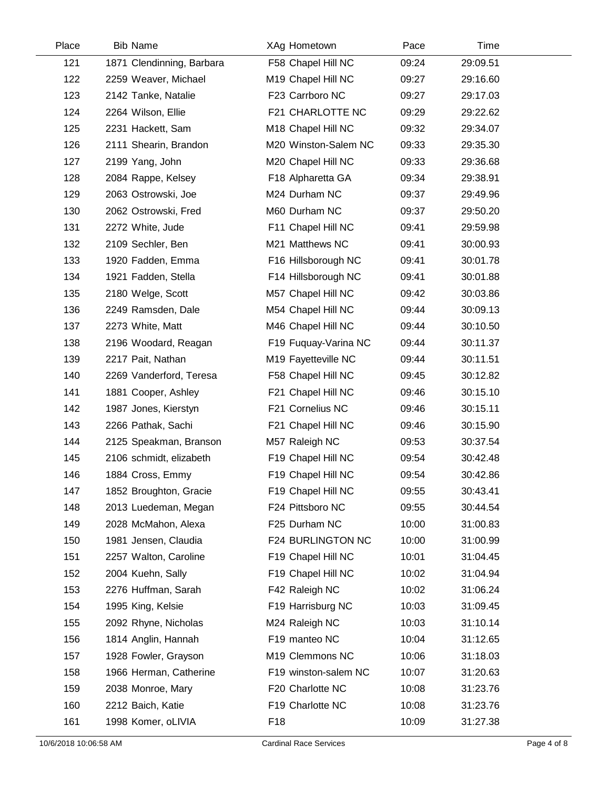| Place | <b>Bib Name</b>           | XAg Hometown         | Pace  | Time     |  |
|-------|---------------------------|----------------------|-------|----------|--|
| 121   | 1871 Clendinning, Barbara | F58 Chapel Hill NC   | 09:24 | 29:09.51 |  |
| 122   | 2259 Weaver, Michael      | M19 Chapel Hill NC   | 09:27 | 29:16.60 |  |
| 123   | 2142 Tanke, Natalie       | F23 Carrboro NC      | 09:27 | 29:17.03 |  |
| 124   | 2264 Wilson, Ellie        | F21 CHARLOTTE NC     | 09:29 | 29:22.62 |  |
| 125   | 2231 Hackett, Sam         | M18 Chapel Hill NC   | 09:32 | 29:34.07 |  |
| 126   | 2111 Shearin, Brandon     | M20 Winston-Salem NC | 09:33 | 29:35.30 |  |
| 127   | 2199 Yang, John           | M20 Chapel Hill NC   | 09:33 | 29:36.68 |  |
| 128   | 2084 Rappe, Kelsey        | F18 Alpharetta GA    | 09:34 | 29:38.91 |  |
| 129   | 2063 Ostrowski, Joe       | M24 Durham NC        | 09:37 | 29:49.96 |  |
| 130   | 2062 Ostrowski, Fred      | M60 Durham NC        | 09:37 | 29:50.20 |  |
| 131   | 2272 White, Jude          | F11 Chapel Hill NC   | 09:41 | 29:59.98 |  |
| 132   | 2109 Sechler, Ben         | M21 Matthews NC      | 09:41 | 30:00.93 |  |
| 133   | 1920 Fadden, Emma         | F16 Hillsborough NC  | 09:41 | 30:01.78 |  |
| 134   | 1921 Fadden, Stella       | F14 Hillsborough NC  | 09:41 | 30:01.88 |  |
| 135   | 2180 Welge, Scott         | M57 Chapel Hill NC   | 09:42 | 30:03.86 |  |
| 136   | 2249 Ramsden, Dale        | M54 Chapel Hill NC   | 09:44 | 30:09.13 |  |
| 137   | 2273 White, Matt          | M46 Chapel Hill NC   | 09:44 | 30:10.50 |  |
| 138   | 2196 Woodard, Reagan      | F19 Fuquay-Varina NC | 09:44 | 30:11.37 |  |
| 139   | 2217 Pait, Nathan         | M19 Fayetteville NC  | 09:44 | 30:11.51 |  |
| 140   | 2269 Vanderford, Teresa   | F58 Chapel Hill NC   | 09:45 | 30:12.82 |  |
| 141   | 1881 Cooper, Ashley       | F21 Chapel Hill NC   | 09:46 | 30:15.10 |  |
| 142   | 1987 Jones, Kierstyn      | F21 Cornelius NC     | 09:46 | 30:15.11 |  |
| 143   | 2266 Pathak, Sachi        | F21 Chapel Hill NC   | 09:46 | 30:15.90 |  |
| 144   | 2125 Speakman, Branson    | M57 Raleigh NC       | 09:53 | 30:37.54 |  |
| 145   | 2106 schmidt, elizabeth   | F19 Chapel Hill NC   | 09:54 | 30:42.48 |  |
| 146   | 1884 Cross, Emmy          | F19 Chapel Hill NC   | 09:54 | 30:42.86 |  |
| 147   | 1852 Broughton, Gracie    | F19 Chapel Hill NC   | 09:55 | 30:43.41 |  |
| 148   | 2013 Luedeman, Megan      | F24 Pittsboro NC     | 09:55 | 30:44.54 |  |
| 149   | 2028 McMahon, Alexa       | F25 Durham NC        | 10:00 | 31:00.83 |  |
| 150   | 1981 Jensen, Claudia      | F24 BURLINGTON NC    | 10:00 | 31:00.99 |  |
| 151   | 2257 Walton, Caroline     | F19 Chapel Hill NC   | 10:01 | 31:04.45 |  |
| 152   | 2004 Kuehn, Sally         | F19 Chapel Hill NC   | 10:02 | 31:04.94 |  |
| 153   | 2276 Huffman, Sarah       | F42 Raleigh NC       | 10:02 | 31:06.24 |  |
| 154   | 1995 King, Kelsie         | F19 Harrisburg NC    | 10:03 | 31:09.45 |  |
| 155   | 2092 Rhyne, Nicholas      | M24 Raleigh NC       | 10:03 | 31:10.14 |  |
| 156   | 1814 Anglin, Hannah       | F19 manteo NC        | 10:04 | 31:12.65 |  |
| 157   | 1928 Fowler, Grayson      | M19 Clemmons NC      | 10:06 | 31:18.03 |  |
| 158   | 1966 Herman, Catherine    | F19 winston-salem NC | 10:07 | 31:20.63 |  |
| 159   | 2038 Monroe, Mary         | F20 Charlotte NC     | 10:08 | 31:23.76 |  |
| 160   | 2212 Baich, Katie         | F19 Charlotte NC     | 10:08 | 31:23.76 |  |
| 161   | 1998 Komer, oLIVIA        | F18                  | 10:09 | 31:27.38 |  |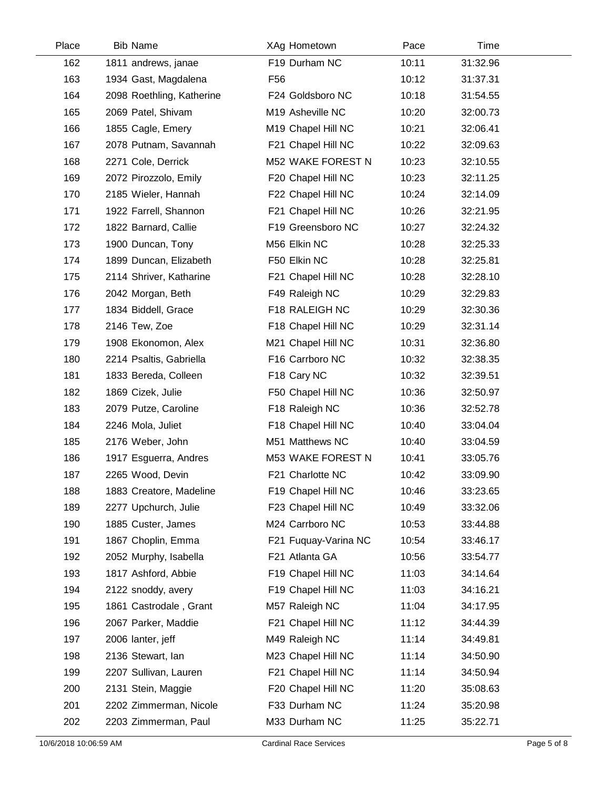| Place | <b>Bib Name</b>           | XAg Hometown         | Pace  | Time     |  |
|-------|---------------------------|----------------------|-------|----------|--|
| 162   | 1811 andrews, janae       | F19 Durham NC        | 10:11 | 31:32.96 |  |
| 163   | 1934 Gast, Magdalena      | F <sub>56</sub>      | 10:12 | 31:37.31 |  |
| 164   | 2098 Roethling, Katherine | F24 Goldsboro NC     | 10:18 | 31:54.55 |  |
| 165   | 2069 Patel, Shivam        | M19 Asheville NC     | 10:20 | 32:00.73 |  |
| 166   | 1855 Cagle, Emery         | M19 Chapel Hill NC   | 10:21 | 32:06.41 |  |
| 167   | 2078 Putnam, Savannah     | F21 Chapel Hill NC   | 10:22 | 32:09.63 |  |
| 168   | 2271 Cole, Derrick        | M52 WAKE FOREST N    | 10:23 | 32:10.55 |  |
| 169   | 2072 Pirozzolo, Emily     | F20 Chapel Hill NC   | 10:23 | 32:11.25 |  |
| 170   | 2185 Wieler, Hannah       | F22 Chapel Hill NC   | 10:24 | 32:14.09 |  |
| 171   | 1922 Farrell, Shannon     | F21 Chapel Hill NC   | 10:26 | 32:21.95 |  |
| 172   | 1822 Barnard, Callie      | F19 Greensboro NC    | 10:27 | 32:24.32 |  |
| 173   | 1900 Duncan, Tony         | M56 Elkin NC         | 10:28 | 32:25.33 |  |
| 174   | 1899 Duncan, Elizabeth    | F50 Elkin NC         | 10:28 | 32:25.81 |  |
| 175   | 2114 Shriver, Katharine   | F21 Chapel Hill NC   | 10:28 | 32:28.10 |  |
| 176   | 2042 Morgan, Beth         | F49 Raleigh NC       | 10:29 | 32:29.83 |  |
| 177   | 1834 Biddell, Grace       | F18 RALEIGH NC       | 10:29 | 32:30.36 |  |
| 178   | 2146 Tew, Zoe             | F18 Chapel Hill NC   | 10:29 | 32:31.14 |  |
| 179   | 1908 Ekonomon, Alex       | M21 Chapel Hill NC   | 10:31 | 32:36.80 |  |
| 180   | 2214 Psaltis, Gabriella   | F16 Carrboro NC      | 10:32 | 32:38.35 |  |
| 181   | 1833 Bereda, Colleen      | F18 Cary NC          | 10:32 | 32:39.51 |  |
| 182   | 1869 Cizek, Julie         | F50 Chapel Hill NC   | 10:36 | 32:50.97 |  |
| 183   | 2079 Putze, Caroline      | F18 Raleigh NC       | 10:36 | 32:52.78 |  |
| 184   | 2246 Mola, Juliet         | F18 Chapel Hill NC   | 10:40 | 33:04.04 |  |
| 185   | 2176 Weber, John          | M51 Matthews NC      | 10:40 | 33:04.59 |  |
| 186   | 1917 Esguerra, Andres     | M53 WAKE FOREST N    | 10:41 | 33:05.76 |  |
| 187   | 2265 Wood, Devin          | F21 Charlotte NC     | 10:42 | 33:09.90 |  |
| 188   | 1883 Creatore, Madeline   | F19 Chapel Hill NC   | 10:46 | 33:23.65 |  |
| 189   | 2277 Upchurch, Julie      | F23 Chapel Hill NC   | 10:49 | 33:32.06 |  |
| 190   | 1885 Custer, James        | M24 Carrboro NC      | 10:53 | 33:44.88 |  |
| 191   | 1867 Choplin, Emma        | F21 Fuquay-Varina NC | 10:54 | 33:46.17 |  |
| 192   | 2052 Murphy, Isabella     | F21 Atlanta GA       | 10:56 | 33:54.77 |  |
| 193   | 1817 Ashford, Abbie       | F19 Chapel Hill NC   | 11:03 | 34:14.64 |  |
| 194   | 2122 snoddy, avery        | F19 Chapel Hill NC   | 11:03 | 34:16.21 |  |
| 195   | 1861 Castrodale, Grant    | M57 Raleigh NC       | 11:04 | 34:17.95 |  |
| 196   | 2067 Parker, Maddie       | F21 Chapel Hill NC   | 11:12 | 34:44.39 |  |
| 197   | 2006 lanter, jeff         | M49 Raleigh NC       | 11:14 | 34:49.81 |  |
| 198   | 2136 Stewart, Ian         | M23 Chapel Hill NC   | 11:14 | 34:50.90 |  |
| 199   | 2207 Sullivan, Lauren     | F21 Chapel Hill NC   | 11:14 | 34:50.94 |  |
| 200   | 2131 Stein, Maggie        | F20 Chapel Hill NC   | 11:20 | 35:08.63 |  |
| 201   | 2202 Zimmerman, Nicole    | F33 Durham NC        | 11:24 | 35:20.98 |  |
| 202   | 2203 Zimmerman, Paul      | M33 Durham NC        | 11:25 | 35:22.71 |  |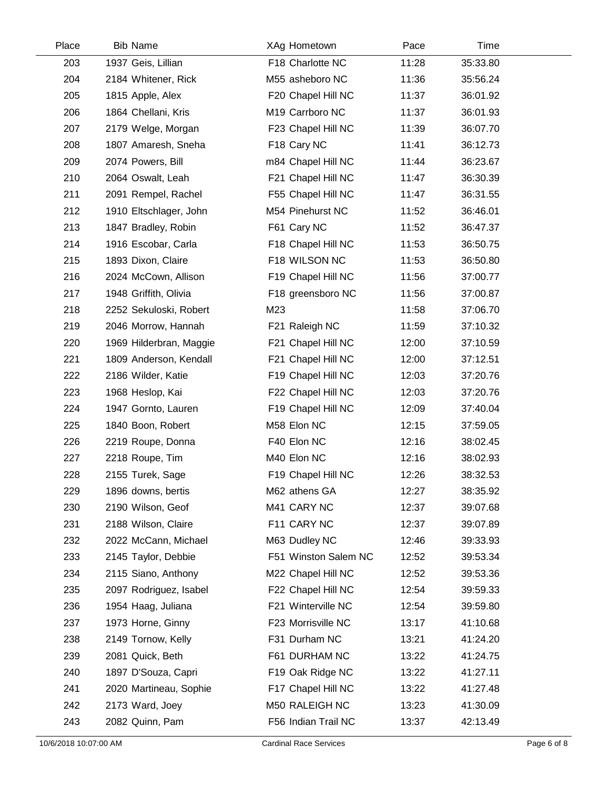| Place | <b>Bib Name</b>         | XAg Hometown            | Pace  | Time     |  |
|-------|-------------------------|-------------------------|-------|----------|--|
| 203   | 1937 Geis, Lillian      | F18 Charlotte NC        | 11:28 | 35:33.80 |  |
| 204   | 2184 Whitener, Rick     | M55 asheboro NC         | 11:36 | 35:56.24 |  |
| 205   | 1815 Apple, Alex        | F20 Chapel Hill NC      | 11:37 | 36:01.92 |  |
| 206   | 1864 Chellani, Kris     | M19 Carrboro NC         | 11:37 | 36:01.93 |  |
| 207   | 2179 Welge, Morgan      | F23 Chapel Hill NC      | 11:39 | 36:07.70 |  |
| 208   | 1807 Amaresh, Sneha     | F <sub>18</sub> Cary NC | 11:41 | 36:12.73 |  |
| 209   | 2074 Powers, Bill       | m84 Chapel Hill NC      | 11:44 | 36:23.67 |  |
| 210   | 2064 Oswalt, Leah       | F21 Chapel Hill NC      | 11:47 | 36:30.39 |  |
| 211   | 2091 Rempel, Rachel     | F55 Chapel Hill NC      | 11:47 | 36:31.55 |  |
| 212   | 1910 Eltschlager, John  | M54 Pinehurst NC        | 11:52 | 36:46.01 |  |
| 213   | 1847 Bradley, Robin     | F61 Cary NC             | 11:52 | 36:47.37 |  |
| 214   | 1916 Escobar, Carla     | F18 Chapel Hill NC      | 11:53 | 36:50.75 |  |
| 215   | 1893 Dixon, Claire      | F18 WILSON NC           | 11:53 | 36:50.80 |  |
| 216   | 2024 McCown, Allison    | F19 Chapel Hill NC      | 11:56 | 37:00.77 |  |
| 217   | 1948 Griffith, Olivia   | F18 greensboro NC       | 11:56 | 37:00.87 |  |
| 218   | 2252 Sekuloski, Robert  | M23                     | 11:58 | 37:06.70 |  |
| 219   | 2046 Morrow, Hannah     | F21 Raleigh NC          | 11:59 | 37:10.32 |  |
| 220   | 1969 Hilderbran, Maggie | F21 Chapel Hill NC      | 12:00 | 37:10.59 |  |
| 221   | 1809 Anderson, Kendall  | F21 Chapel Hill NC      | 12:00 | 37:12.51 |  |
| 222   | 2186 Wilder, Katie      | F19 Chapel Hill NC      | 12:03 | 37:20.76 |  |
| 223   | 1968 Heslop, Kai        | F22 Chapel Hill NC      | 12:03 | 37:20.76 |  |
| 224   | 1947 Gornto, Lauren     | F19 Chapel Hill NC      | 12:09 | 37:40.04 |  |
| 225   | 1840 Boon, Robert       | M58 Elon NC             | 12:15 | 37:59.05 |  |
| 226   | 2219 Roupe, Donna       | F40 Elon NC             | 12:16 | 38:02.45 |  |
| 227   | 2218 Roupe, Tim         | M40 Elon NC             | 12:16 | 38:02.93 |  |
| 228   | 2155 Turek, Sage        | F19 Chapel Hill NC      | 12:26 | 38:32.53 |  |
| 229   | 1896 downs, bertis      | M62 athens GA           | 12:27 | 38:35.92 |  |
| 230   | 2190 Wilson, Geof       | M41 CARY NC             | 12:37 | 39:07.68 |  |
| 231   | 2188 Wilson, Claire     | F11 CARY NC             | 12:37 | 39:07.89 |  |
| 232   | 2022 McCann, Michael    | M63 Dudley NC           | 12:46 | 39:33.93 |  |
| 233   | 2145 Taylor, Debbie     | F51 Winston Salem NC    | 12:52 | 39:53.34 |  |
| 234   | 2115 Siano, Anthony     | M22 Chapel Hill NC      | 12:52 | 39:53.36 |  |
| 235   | 2097 Rodriguez, Isabel  | F22 Chapel Hill NC      | 12:54 | 39:59.33 |  |
| 236   | 1954 Haag, Juliana      | F21 Winterville NC      | 12:54 | 39:59.80 |  |
| 237   | 1973 Horne, Ginny       | F23 Morrisville NC      | 13:17 | 41:10.68 |  |
| 238   | 2149 Tornow, Kelly      | F31 Durham NC           | 13:21 | 41:24.20 |  |
| 239   | 2081 Quick, Beth        | F61 DURHAM NC           | 13:22 | 41:24.75 |  |
| 240   | 1897 D'Souza, Capri     | F19 Oak Ridge NC        | 13:22 | 41:27.11 |  |
| 241   | 2020 Martineau, Sophie  | F17 Chapel Hill NC      | 13:22 | 41:27.48 |  |
| 242   | 2173 Ward, Joey         | M50 RALEIGH NC          | 13:23 | 41:30.09 |  |
| 243   | 2082 Quinn, Pam         | F56 Indian Trail NC     | 13:37 | 42:13.49 |  |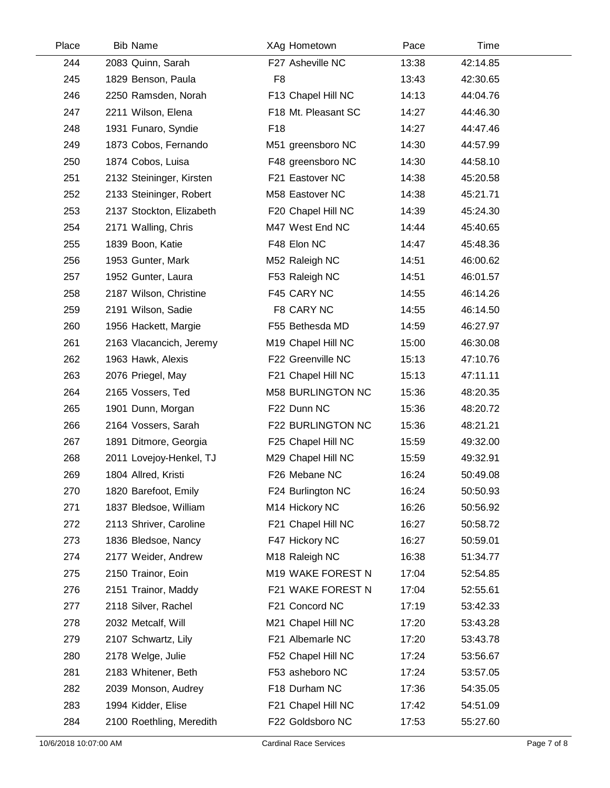| Place | <b>Bib Name</b>          | XAg Hometown             | Pace  | Time     |  |
|-------|--------------------------|--------------------------|-------|----------|--|
| 244   | 2083 Quinn, Sarah        | F27 Asheville NC         | 13:38 | 42:14.85 |  |
| 245   | 1829 Benson, Paula       | F <sub>8</sub>           | 13:43 | 42:30.65 |  |
| 246   | 2250 Ramsden, Norah      | F13 Chapel Hill NC       | 14:13 | 44:04.76 |  |
| 247   | 2211 Wilson, Elena       | F18 Mt. Pleasant SC      | 14:27 | 44:46.30 |  |
| 248   | 1931 Funaro, Syndie      | F <sub>18</sub>          | 14:27 | 44:47.46 |  |
| 249   | 1873 Cobos, Fernando     | M51 greensboro NC        | 14:30 | 44:57.99 |  |
| 250   | 1874 Cobos, Luisa        | F48 greensboro NC        | 14:30 | 44:58.10 |  |
| 251   | 2132 Steininger, Kirsten | F21 Eastover NC          | 14:38 | 45:20.58 |  |
| 252   | 2133 Steininger, Robert  | M58 Eastover NC          | 14:38 | 45:21.71 |  |
| 253   | 2137 Stockton, Elizabeth | F20 Chapel Hill NC       | 14:39 | 45:24.30 |  |
| 254   | 2171 Walling, Chris      | M47 West End NC          | 14:44 | 45:40.65 |  |
| 255   | 1839 Boon, Katie         | F48 Elon NC              | 14:47 | 45:48.36 |  |
| 256   | 1953 Gunter, Mark        | M52 Raleigh NC           | 14:51 | 46:00.62 |  |
| 257   | 1952 Gunter, Laura       | F53 Raleigh NC           | 14:51 | 46:01.57 |  |
| 258   | 2187 Wilson, Christine   | F45 CARY NC              | 14:55 | 46:14.26 |  |
| 259   | 2191 Wilson, Sadie       | F8 CARY NC               | 14:55 | 46:14.50 |  |
| 260   | 1956 Hackett, Margie     | F55 Bethesda MD          | 14:59 | 46:27.97 |  |
| 261   | 2163 Vlacancich, Jeremy  | M19 Chapel Hill NC       | 15:00 | 46:30.08 |  |
| 262   | 1963 Hawk, Alexis        | F22 Greenville NC        | 15:13 | 47:10.76 |  |
| 263   | 2076 Priegel, May        | F21 Chapel Hill NC       | 15:13 | 47:11.11 |  |
| 264   | 2165 Vossers, Ted        | <b>M58 BURLINGTON NC</b> | 15:36 | 48:20.35 |  |
| 265   | 1901 Dunn, Morgan        | F22 Dunn NC              | 15:36 | 48:20.72 |  |
| 266   | 2164 Vossers, Sarah      | F22 BURLINGTON NC        | 15:36 | 48:21.21 |  |
| 267   | 1891 Ditmore, Georgia    | F25 Chapel Hill NC       | 15:59 | 49:32.00 |  |
| 268   | 2011 Lovejoy-Henkel, TJ  | M29 Chapel Hill NC       | 15:59 | 49:32.91 |  |
| 269   | 1804 Allred, Kristi      | F26 Mebane NC            | 16:24 | 50:49.08 |  |
| 270   | 1820 Barefoot, Emily     | F24 Burlington NC        | 16:24 | 50:50.93 |  |
| 271   | 1837 Bledsoe, William    | M14 Hickory NC           | 16:26 | 50:56.92 |  |
| 272   | 2113 Shriver, Caroline   | F21 Chapel Hill NC       | 16:27 | 50:58.72 |  |
| 273   | 1836 Bledsoe, Nancy      | F47 Hickory NC           | 16:27 | 50:59.01 |  |
| 274   | 2177 Weider, Andrew      | M18 Raleigh NC           | 16:38 | 51:34.77 |  |
| 275   | 2150 Trainor, Eoin       | M19 WAKE FOREST N        | 17:04 | 52:54.85 |  |
| 276   | 2151 Trainor, Maddy      | F21 WAKE FOREST N        | 17:04 | 52:55.61 |  |
| 277   | 2118 Silver, Rachel      | F21 Concord NC           | 17:19 | 53:42.33 |  |
| 278   | 2032 Metcalf, Will       | M21 Chapel Hill NC       | 17:20 | 53:43.28 |  |
| 279   | 2107 Schwartz, Lily      | F21 Albemarle NC         | 17:20 | 53:43.78 |  |
| 280   | 2178 Welge, Julie        | F52 Chapel Hill NC       | 17:24 | 53:56.67 |  |
| 281   | 2183 Whitener, Beth      | F53 asheboro NC          | 17:24 | 53:57.05 |  |
| 282   | 2039 Monson, Audrey      | F18 Durham NC            | 17:36 | 54:35.05 |  |
| 283   | 1994 Kidder, Elise       | F21 Chapel Hill NC       | 17:42 | 54:51.09 |  |
| 284   | 2100 Roethling, Meredith | F22 Goldsboro NC         | 17:53 | 55:27.60 |  |